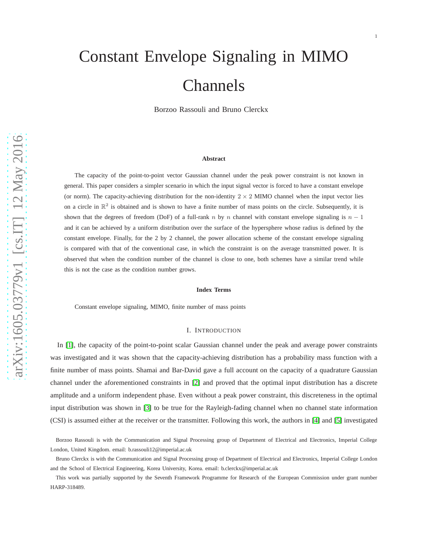# Constant Envelope Signaling in MIMO Channels

1

Borzoo Rassouli and Bruno Clerckx

#### **Abstract**

The capacity of the point-to-point vector Gaussian channel under the peak power constraint is not known in general. This paper considers a simpler scenario in which the input signal vector is forced to have a constant envelope (or norm). The capacity-achieving distribution for the non-identity  $2 \times 2$  MIMO channel when the input vector lies on a circle in  $\mathbb{R}^2$  is obtained and is shown to have a finite number of mass points on the circle. Subsequently, it is shown that the degrees of freedom (DoF) of a full-rank n by n channel with constant envelope signaling is  $n - 1$ and it can be achieved by a uniform distribution over the surface of the hypersphere whose radius is defined by the constant envelope. Finally, for the 2 by 2 channel, the power allocation scheme of the constant envelope signaling is compared with that of the conventional case, in which the constraint is on the average transmitted power. It is observed that when the condition number of the channel is close to one, both schemes have a similar trend while this is not the case as the condition number grows.

### **Index Terms**

<span id="page-0-0"></span>Constant envelope signaling, MIMO, finite number of mass points

## I. INTRODUCTION

In [\[1\]](#page-18-0), the capacity of the point-to-point scalar Gaussian channel under the peak and average power constraints was investigated and it was shown that the capacity-achieving distribution has a probability mass function with a finite number of mass points. Shamai and Bar-David gave a full account on the capacity of a quadrature Gaussian channel under the aforementioned constraints in [\[2\]](#page-18-1) and proved that the optimal input distribution has a discrete amplitude and a uniform independent phase. Even without a peak power constraint, this discreteness in the optimal input distribution was shown in [\[3\]](#page-18-2) to be true for the Rayleigh-fading channel when no channel state information (CSI) is assumed either at the receiver or the transmitter. Following this work, the authors in [\[4\]](#page-18-3) and [\[5\]](#page-18-4) investigated

Borzoo Rassouli is with the Communication and Signal Processing group of Department of Electrical and Electronics, Imperial College London, United Kingdom. email: b.rassouli12@imperial.ac.uk

Bruno Clerckx is with the Communication and Signal Processing group of Department of Electrical and Electronics, Imperial College London and the School of Electrical Engineering, Korea University, Korea. email: b.clerckx@imperial.ac.uk

This work was partially supported by the Seventh Framework Programme for Research of the European Commission under grant number HARP-318489.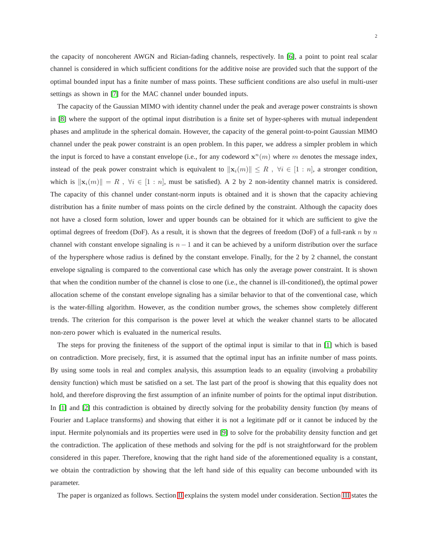the capacity of noncoherent AWGN and Rician-fading channels, respectively. In [\[6\]](#page-18-5), a point to point real scalar channel is considered in which sufficient conditions for the additive noise are provided such that the support of the optimal bounded input has a finite number of mass points. These sufficient conditions are also useful in multi-user settings as shown in [\[7\]](#page-18-6) for the MAC channel under bounded inputs.

The capacity of the Gaussian MIMO with identity channel under the peak and average power constraints is shown in [\[8\]](#page-18-7) where the support of the optimal input distribution is a finite set of hyper-spheres with mutual independent phases and amplitude in the spherical domain. However, the capacity of the general point-to-point Gaussian MIMO channel under the peak power constraint is an open problem. In this paper, we address a simpler problem in which the input is forced to have a constant envelope (i.e., for any codeword  $x^n(m)$  where m denotes the message index, instead of the peak power constraint which is equivalent to  $||\mathbf{x}_i(m)|| \leq R$ ,  $\forall i \in [1:n]$ , a stronger condition, which is  $\|\mathbf{x}_i(m)\| = R$ ,  $\forall i \in [1:n]$ , must be satisfied). A 2 by 2 non-identity channel matrix is considered. The capacity of this channel under constant-norm inputs is obtained and it is shown that the capacity achieving distribution has a finite number of mass points on the circle defined by the constraint. Although the capacity does not have a closed form solution, lower and upper bounds can be obtained for it which are sufficient to give the optimal degrees of freedom (DoF). As a result, it is shown that the degrees of freedom (DoF) of a full-rank n by n channel with constant envelope signaling is  $n - 1$  and it can be achieved by a uniform distribution over the surface of the hypersphere whose radius is defined by the constant envelope. Finally, for the 2 by 2 channel, the constant envelope signaling is compared to the conventional case which has only the average power constraint. It is shown that when the condition number of the channel is close to one (i.e., the channel is ill-conditioned), the optimal power allocation scheme of the constant envelope signaling has a similar behavior to that of the conventional case, which is the water-filling algorithm. However, as the condition number grows, the schemes show completely different trends. The criterion for this comparison is the power level at which the weaker channel starts to be allocated non-zero power which is evaluated in the numerical results.

The steps for proving the finiteness of the support of the optimal input is similar to that in [\[1\]](#page-18-0) which is based on contradiction. More precisely, first, it is assumed that the optimal input has an infinite number of mass points. By using some tools in real and complex analysis, this assumption leads to an equality (involving a probability density function) which must be satisfied on a set. The last part of the proof is showing that this equality does not hold, and therefore disproving the first assumption of an infinite number of points for the optimal input distribution. In [\[1\]](#page-18-0) and [\[2\]](#page-18-1) this contradiction is obtained by directly solving for the probability density function (by means of Fourier and Laplace transforms) and showing that either it is not a legitimate pdf or it cannot be induced by the input. Hermite polynomials and its properties were used in [\[9\]](#page-18-8) to solve for the probability density function and get the contradiction. The application of these methods and solving for the pdf is not straightforward for the problem considered in this paper. Therefore, knowing that the right hand side of the aforementioned equality is a constant, we obtain the contradiction by showing that the left hand side of this equality can become unbounded with its parameter.

The paper is organized as follows. Section [II](#page-2-0) explains the system model under consideration. Section [III](#page-3-0) states the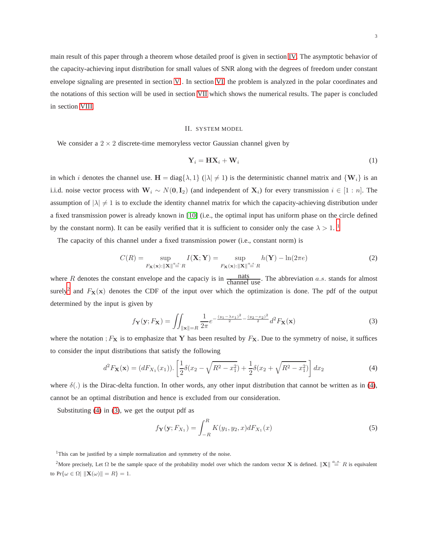main result of this paper through a theorem whose detailed proof is given in section [IV.](#page-3-1) The asymptotic behavior of the capacity-achieving input distribution for small values of SNR along with the degrees of freedom under constant envelope signaling are presented in section [V](#page-9-0) . In section [VI,](#page-12-0) the problem is analyzed in the polar coordinates and the notations of this section will be used in section [VII](#page-13-0) which shows the numerical results. The paper is concluded in section [VIII.](#page-17-0)

## II. SYSTEM MODEL

<span id="page-2-0"></span>We consider a  $2 \times 2$  discrete-time memoryless vector Gaussian channel given by

$$
\mathbf{Y}_i = \mathbf{H}\mathbf{X}_i + \mathbf{W}_i \tag{1}
$$

in which i denotes the channel use.  $H = \text{diag}\{\lambda, 1\}$  ( $|\lambda| \neq 1$ ) is the deterministic channel matrix and  $\{W_i\}$  is an i.i.d. noise vector process with  $W_i \sim N(0, I_2)$  (and independent of  $X_i$ ) for every transmission  $i \in [1:n]$ . The assumption of  $|\lambda| \neq 1$  is to exclude the identity channel matrix for which the capacity-achieving distribution under a fixed transmission power is already known in [\[10\]](#page-18-9) (i.e., the optimal input has uniform phase on the circle defined by the constant norm). It can be easily verified that it is sufficient to consider only the case  $\lambda > 1$  $\lambda > 1$ .

The capacity of this channel under a fixed transmission power (i.e., constant norm) is

<span id="page-2-5"></span>
$$
C(R) = \sup_{F_{\mathbf{X}}(\mathbf{x}): \|\mathbf{X}\| \stackrel{a.s.}{=} R} I(\mathbf{X}; \mathbf{Y}) = \sup_{F_{\mathbf{X}}(\mathbf{x}): \|\mathbf{X}\| \stackrel{a.s.}{=} R} h(\mathbf{Y}) - \ln(2\pi e)
$$
(2)

where R denotes the constant envelope and the capaciy is in  $\frac{\text{nats}}{\text{channel use}}$ . The abbreviation a.s. stands for almost surely<sup>[2](#page-2-2)</sup> and  $F_X(x)$  denotes the CDF of the input over which the optimization is done. The pdf of the output determined by the input is given by

<span id="page-2-4"></span>
$$
f_{\mathbf{Y}}(\mathbf{y}; F_{\mathbf{X}}) = \iint_{\|\mathbf{x}\| = R} \frac{1}{2\pi} e^{-\frac{(y_1 - \lambda x_1)^2}{2} - \frac{(y_2 - x_2)^2}{2}} d^2 F_{\mathbf{X}}(\mathbf{x})
$$
(3)

where the notation ;  $F_X$  is to emphasize that Y has been resulted by  $F_X$ . Due to the symmetry of noise, it suffices to consider the input distributions that satisfy the following

$$
d^2 F_{\mathbf{X}}(\mathbf{x}) = (dF_{X_1}(x_1)) \cdot \left[ \frac{1}{2} \delta(x_2 - \sqrt{R^2 - x_1^2}) + \frac{1}{2} \delta(x_2 + \sqrt{R^2 - x_1^2}) \right] dx_2 \tag{4}
$$

where  $\delta(.)$  is the Dirac-delta function. In other words, any other input distribution that cannot be written as in [\(4\)](#page-2-3), cannot be an optimal distribution and hence is excluded from our consideration.

Substituting  $(4)$  in  $(3)$ , we get the output pdf as

<span id="page-2-6"></span><span id="page-2-3"></span>
$$
f_{\mathbf{Y}}(\mathbf{y}; F_{X_1}) = \int_{-R}^{R} K(y_1, y_2, x) dF_{X_1}(x)
$$
\n(5)

<span id="page-2-1"></span><sup>1</sup>This can be justified by a simple normalization and symmetry of the noise.

<span id="page-2-2"></span><sup>2</sup>More precisely, Let  $\Omega$  be the sample space of the probability model over which the random vector **X** is defined.  $||X|| \stackrel{a.s.}{=} R$  is equivalent to Pr{ $\omega \in \Omega$ |  $\|\mathbf{X}(\omega)\| = R$ } = 1.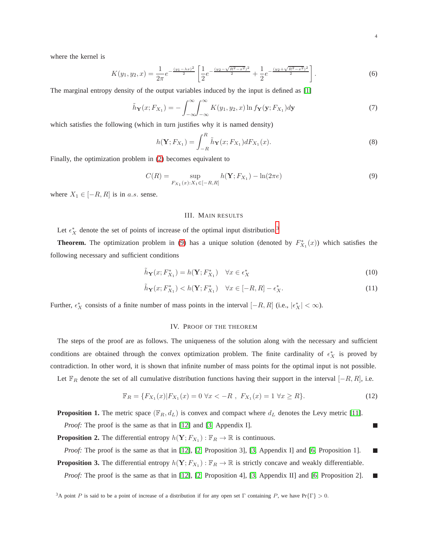<span id="page-3-5"></span><span id="page-3-4"></span>П

where the kernel is

$$
K(y_1, y_2, x) = \frac{1}{2\pi} e^{-\frac{(y_1 - \lambda x)^2}{2}} \left[ \frac{1}{2} e^{-\frac{(y_2 - \sqrt{R^2 - x^2})^2}{2}} + \frac{1}{2} e^{-\frac{(y_2 + \sqrt{R^2 - x^2})^2}{2}} \right].
$$
 (6)

The marginal entropy density of the output variables induced by the input is defined as [\[1\]](#page-18-0)

$$
\tilde{h}_{\mathbf{Y}}(x; F_{X_1}) = -\int_{-\infty}^{\infty} \int_{-\infty}^{\infty} K(y_1, y_2, x) \ln f_{\mathbf{Y}}(\mathbf{y}; F_{X_1}) d\mathbf{y}
$$
\n(7)

which satisfies the following (which in turn justifies why it is named density)

$$
h(\mathbf{Y}; F_{X_1}) = \int_{-R}^{R} \tilde{h}_{\mathbf{Y}}(x; F_{X_1}) dF_{X_1}(x).
$$
\n(8)

Finally, the optimization problem in [\(2\)](#page-2-5) becomes equivalent to

<span id="page-3-3"></span>
$$
C(R) = \sup_{F_{X_1}(x): X_1 \in [-R, R]} h(\mathbf{Y}; F_{X_1}) - \ln(2\pi e)
$$
\n(9)

<span id="page-3-0"></span>where  $X_1 \in [-R, R]$  is in *a.s.* sense.

# III. MAIN RESULTS

Let  $\epsilon_X^*$  denote the set of points of increase of the optimal input distribution.<sup>[3](#page-3-2)</sup>

**Theorem.** The optimization problem in [\(9\)](#page-3-3) has a unique solution (denoted by  $F_{X_1}^*(x)$ ) which satisfies the following necessary and sufficient conditions

$$
\tilde{h}_{\mathbf{Y}}(x; F_{X_1}^*) = h(\mathbf{Y}; F_{X_1}^*) \quad \forall x \in \epsilon_X^* \tag{10}
$$

$$
\tilde{h}_{\mathbf{Y}}(x; F_{X_1}^*) < h(\mathbf{Y}; F_{X_1}^*) \quad \forall x \in [-R, R] - \epsilon_X^*.
$$
\n
$$
(11)
$$

<span id="page-3-1"></span>Further,  $\epsilon_X^*$  consists of a finite number of mass points in the interval  $[-R, R]$  (i.e.,  $|\epsilon_X^*| < \infty$ ).

## IV. PROOF OF THE THEOREM

The steps of the proof are as follows. The uniqueness of the solution along with the necessary and sufficient conditions are obtained through the convex optimization problem. The finite cardinality of  $\epsilon_X^*$  is proved by contradiction. In other word, it is shown that infinite number of mass points for the optimal input is not possible. Let  $\mathbb{F}_R$  denote the set of all cumulative distribution functions having their support in the interval  $[-R, R]$ , i.e.

$$
\mathbb{F}_R = \{ F_{X_1}(x) | F_{X_1}(x) = 0 \,\forall x < -R \,\, , \,\, F_{X_1}(x) = 1 \,\forall x \ge R \}. \tag{12}
$$

**Proposition 1.** The metric space  $(\mathbb{F}_R, d_L)$  is convex and compact where  $d_L$  denotes the Levy metric [\[11\]](#page-18-10).

*Proof:* The proof is the same as that in [\[12\]](#page-18-11) and [\[3,](#page-18-2) Appendix I].

**Proposition 2.** The differential entropy  $h(Y; F_{X_1}) : \mathbb{F}_R \to \mathbb{R}$  is continuous.

*Proof:* The proof is the same as that in [\[12\]](#page-18-11), [\[2,](#page-18-1) Proposition 3], [\[3,](#page-18-2) Appendix I] and [\[6,](#page-18-5) Proposition 1]. г **Proposition 3.** The differential entropy  $h(Y; F_{X_1}) : \mathbb{F}_R \to \mathbb{R}$  is strictly concave and weakly differentiable.

*Proof:* The proof is the same as that in [\[12\]](#page-18-11), [\[2,](#page-18-1) Proposition 4], [\[3,](#page-18-2) Appendix II] and [\[6,](#page-18-5) Proposition 2].  $\Box$ 

<span id="page-3-2"></span><sup>3</sup>A point P is said to be a point of increase of a distribution if for any open set Γ containing P, we have Pr{Γ} > 0.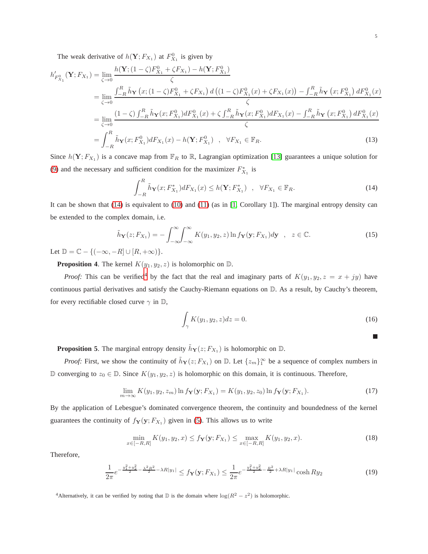<span id="page-4-3"></span>П

The weak derivative of  $h(Y; F_{X_1})$  at  $F_{X_1}^0$  is given by

$$
h'_{F_{X_1}^0}(\mathbf{Y}; F_{X_1}) = \lim_{\zeta \to 0} \frac{h(\mathbf{Y}; (1-\zeta)F_{X_1}^0 + \zeta F_{X_1}) - h(\mathbf{Y}; F_{X_1}^0)}{\zeta}
$$
  
\n
$$
= \lim_{\zeta \to 0} \frac{\int_{-\epsilon}^R \tilde{h}_{\mathbf{Y}}(x; (1-\zeta)F_{X_1}^0 + \zeta F_{X_1}) d((1-\zeta)F_{X_1}^0(x) + \zeta F_{X_1}(x)) - \int_{-\epsilon}^R \tilde{h}_{\mathbf{Y}}(x; F_{X_1}^0) dF_{X_1}^0(x)}{\zeta}
$$
  
\n
$$
= \lim_{\zeta \to 0} \frac{(1-\zeta) \int_{-\epsilon}^R \tilde{h}_{\mathbf{Y}}(x; F_{X_1}^0) dF_{X_1}^0(x) + \zeta \int_{-\epsilon}^R \tilde{h}_{\mathbf{Y}}(x; F_{X_1}^0) dF_{X_1}(x) - \int_{-\epsilon}^R \tilde{h}_{\mathbf{Y}}(x; F_{X_1}^0) dF_{X_1}^0(x)}{\zeta}
$$
  
\n
$$
= \int_{-\epsilon}^R \tilde{h}_{\mathbf{Y}}(x; F_{X_1}^0) dF_{X_1}(x) - h(\mathbf{Y}; F_{X_1}^0) , \quad \forall F_{X_1} \in \mathbb{F}_R.
$$
 (13)

Since  $h(Y; F_{X_1})$  is a concave map from  $\mathbb{F}_R$  to  $\mathbb{R}$ , Lagrangian optimization [\[13\]](#page-18-12) guarantees a unique solution for [\(9\)](#page-3-3) and the necessary and sufficient condition for the maximizer  $F_{X_1}^*$  is

<span id="page-4-0"></span>
$$
\int_{-R}^{R} \tilde{h}_{Y}(x; F_{X_{1}}^{*}) dF_{X_{1}}(x) \leq h(Y; F_{X_{1}}^{*}) \quad , \quad \forall F_{X_{1}} \in \mathbb{F}_{R}.
$$
 (14)

It can be shown that [\(14\)](#page-4-0) is equivalent to [\(10\)](#page-3-4) and [\(11\)](#page-3-5) (as in [\[1,](#page-18-0) Corollary 1]). The marginal entropy density can be extended to the complex domain, i.e.

$$
\tilde{h}_{\mathbf{Y}}(z; F_{X_1}) = -\int_{-\infty}^{\infty} \int_{-\infty}^{\infty} K(y_1, y_2, z) \ln f_{\mathbf{Y}}(\mathbf{y}; F_{X_1}) d\mathbf{y} , \quad z \in \mathbb{C}.
$$
\n(15)

Let  $\mathbb{D} = \mathbb{C} - \{(-\infty, -R] \cup [R, +\infty)\}.$ 

**Proposition 4.** The kernel  $K(y_1, y_2, z)$  is holomorphic on  $D$ .

*Proof:* This can be verified<sup>[4](#page-4-1)</sup> by the fact that the real and imaginary parts of  $K(y_1, y_2, z = x + jy)$  have continuous partial derivatives and satisfy the Cauchy-Riemann equations on D. As a result, by Cauchy's theorem, for every rectifiable closed curve  $\gamma$  in  $\mathbb{D}$ ,

<span id="page-4-2"></span>
$$
\int_{\gamma} K(y_1, y_2, z) dz = 0.
$$
\n(16)

**Proposition 5**. The marginal entropy density  $\tilde{h}_{\mathbf{Y}}(z; F_{X_1})$  is holomorphic on  $\mathbb{D}$ .

*Proof:* First, we show the continuity of  $\tilde{h}_{Y}(z; F_{X_1})$  on  $\mathbb{D}$ . Let  $\{z_m\}_{1}^{\infty}$  be a sequence of complex numbers in D converging to  $z_0 \in \mathbb{D}$ . Since  $K(y_1, y_2, z)$  is holomorphic on this domain, it is continuous. Therefore,

$$
\lim_{m \to \infty} K(y_1, y_2, z_m) \ln f_{\mathbf{Y}}(\mathbf{y}; F_{X_1}) = K(y_1, y_2, z_0) \ln f_{\mathbf{Y}}(\mathbf{y}; F_{X_1}).
$$
\n(17)

By the application of Lebesgue's dominated convergence theorem, the continuity and boundedness of the kernel guarantees the continuity of  $f_{\mathbf{Y}}(\mathbf{y}; F_{X_1})$  given in [\(5\)](#page-2-6). This allows us to write

$$
\min_{x \in [-R,R]} K(y_1, y_2, x) \le f_{\mathbf{Y}}(\mathbf{y}; F_{X_1}) \le \max_{x \in [-R,R]} K(y_1, y_2, x). \tag{18}
$$

Therefore,

$$
\frac{1}{2\pi}e^{-\frac{y_1^2 + y_2^2}{2} - \frac{\lambda^2 R^2}{2} - \lambda R|y_1|} \le f_{\mathbf{Y}}(\mathbf{y}; F_{X_1}) \le \frac{1}{2\pi}e^{-\frac{y_1^2 + y_2^2}{2} - \frac{R^2}{2} + \lambda R|y_1|} \cosh Ry_2 \tag{19}
$$

<span id="page-4-1"></span><sup>4</sup>Alternatively, it can be verified by noting that  $\mathbb D$  is the domain where  $\log(R^2 - z^2)$  is holomorphic.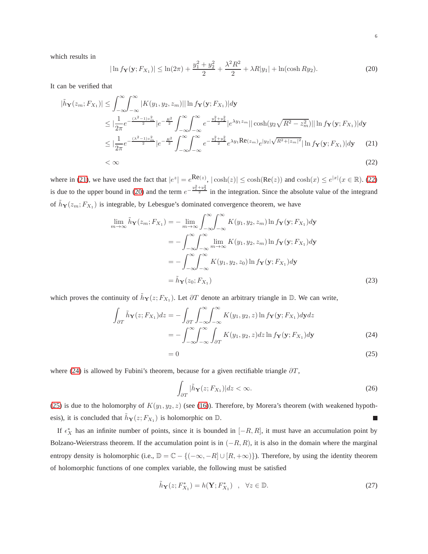which results in

<span id="page-5-2"></span><span id="page-5-0"></span>
$$
|\ln f_{\mathbf{Y}}(\mathbf{y}; F_{X_1})| \le \ln(2\pi) + \frac{y_1^2 + y_2^2}{2} + \frac{\lambda^2 R^2}{2} + \lambda R|y_1| + \ln(\cosh R y_2). \tag{20}
$$

It can be verified that

$$
|\tilde{h}_{\mathbf{Y}}(z_{m};F_{X_{1}})| \leq \int_{-\infty}^{\infty} \int_{-\infty}^{\infty} |K(y_{1},y_{2},z_{m})| |\ln f_{\mathbf{Y}}(\mathbf{y};F_{X_{1}})| d\mathbf{y}
$$
  
\n
$$
\leq |\frac{1}{2\pi} e^{-\frac{(\lambda^{2}-1)z_{m}^{2}}{2}} |e^{-\frac{R^{2}}{2}} \int_{-\infty}^{\infty} \int_{-\infty}^{\infty} e^{-\frac{y_{1}^{2}+y_{2}^{2}}{2}} |e^{\lambda y_{1}z_{m}}| |\cosh(y_{2}\sqrt{R^{2}-z_{m}^{2}})||\ln f_{\mathbf{Y}}(\mathbf{y};F_{X_{1}})| d\mathbf{y}
$$
  
\n
$$
\leq |\frac{1}{2\pi} e^{-\frac{(\lambda^{2}-1)z_{m}^{2}}{2}} |e^{-\frac{R^{2}}{2}} \int_{-\infty}^{\infty} \int_{-\infty}^{\infty} e^{-\frac{y_{1}^{2}+y_{2}^{2}}{2}} e^{\lambda y_{1}} \text{Re}(z_{m}) e^{|y_{2}| \sqrt{R^{2}+|z_{m}|^{2}}} |\ln f_{\mathbf{Y}}(\mathbf{y};F_{X_{1}})| d\mathbf{y}
$$
(21)  
\n
$$
< \infty
$$

where in [\(21\)](#page-5-0), we have used the fact that  $|e^z| = e^{\text{Re}(z)}$ ,  $|\cosh(z)| \le \cosh(\text{Re}(z))$  and  $\cosh(x) \le e^{|x|}(x \in \mathbb{R})$ . [\(22\)](#page-5-1) is due to the upper bound in [\(20\)](#page-5-2) and the term  $e^{-\frac{y_1^2+y_2^2}{2}}$  in the integration. Since the absolute value of the integrand of  $\tilde{h}_{\mathbf{Y}}(z_m; F_{X_1})$  is integrable, by Lebesgue's dominated convergence theorem, we have

<span id="page-5-1"></span>
$$
\lim_{m \to \infty} \tilde{h}_{\mathbf{Y}}(z_m; F_{X_1}) = - \lim_{m \to \infty} \int_{-\infty}^{\infty} \int_{-\infty}^{\infty} K(y_1, y_2, z_m) \ln f_{\mathbf{Y}}(\mathbf{y}; F_{X_1}) d\mathbf{y}
$$
  
\n
$$
= - \int_{-\infty}^{\infty} \int_{-\infty}^{\infty} \lim_{m \to \infty} K(y_1, y_2, z_m) \ln f_{\mathbf{Y}}(\mathbf{y}; F_{X_1}) d\mathbf{y}
$$
  
\n
$$
= - \int_{-\infty}^{\infty} \int_{-\infty}^{\infty} K(y_1, y_2, z_0) \ln f_{\mathbf{Y}}(\mathbf{y}; F_{X_1}) d\mathbf{y}
$$
  
\n
$$
= \tilde{h}_{\mathbf{Y}}(z_0; F_{X_1})
$$
\n(23)

which proves the continuity of  $\tilde{h}_{Y}(z; F_{X_1})$ . Let  $\partial T$  denote an arbitrary triangle in D. We can write,

$$
\int_{\partial T} \tilde{h}_{\mathbf{Y}}(z; F_{X_1}) dz = - \int_{\partial T} \int_{-\infty}^{\infty} \int_{-\infty}^{\infty} K(y_1, y_2, z) \ln f_{\mathbf{Y}}(\mathbf{y}; F_{X_1}) d\mathbf{y} dz
$$
\n
$$
= - \int_{-\infty}^{\infty} \int_{-\infty}^{\infty} \int_{\partial T} K(y_1, y_2, z) dz \ln f_{\mathbf{Y}}(\mathbf{y}; F_{X_1}) d\mathbf{y}
$$
\n(24)

$$
=0\tag{25}
$$

where [\(24\)](#page-5-3) is allowed by Fubini's theorem, because for a given rectifiable triangle  $\partial T$ ,

<span id="page-5-4"></span><span id="page-5-3"></span>
$$
\int_{\partial T} |\tilde{h}_{\mathbf{Y}}(z; F_{X_1})| dz < \infty. \tag{26}
$$

[\(25\)](#page-5-4) is due to the holomorphy of  $K(y_1, y_2, z)$  (see [\(16\)](#page-4-2)). Therefore, by Morera's theorem (with weakened hypothesis), it is concluded that  $\tilde{h}_{\mathbf{Y}}(z; F_{X_1})$  is holomorphic on  $\mathbb{D}$ . П

If  $\epsilon_X^*$  has an infinite number of points, since it is bounded in  $[-R, R]$ , it must have an accumulation point by Bolzano-Weierstrass theorem. If the accumulation point is in  $(-R, R)$ , it is also in the domain where the marginal entropy density is holomorphic (i.e.,  $\mathbb{D} = \mathbb{C} - \{(-\infty, -R] \cup [R, +\infty)\}\)$ . Therefore, by using the identity theorem of holomorphic functions of one complex variable, the following must be satisfied

<span id="page-5-5"></span>
$$
\tilde{h}_{\mathbf{Y}}(z; F_{X_1}^*) = h(\mathbf{Y}; F_{X_1}^*) \quad , \quad \forall z \in \mathbb{D}.
$$
\n(27)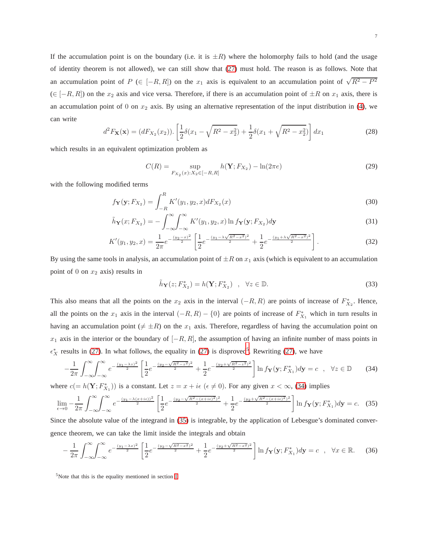If the accumulation point is on the boundary (i.e. it is  $\pm R$ ) where the holomorphy fails to hold (and the usage of identity theorem is not allowed), we can still show that [\(27\)](#page-5-5) must hold. The reason is as follows. Note that an accumulation point of  $P$  ( $\in [-R, R]$ ) on the  $x_1$  axis is equivalent to an accumulation point of  $\sqrt{R^2 - P^2}$  $(\in [-R, R])$  on the  $x_2$  axis and vice versa. Therefore, if there is an accumulation point of  $\pm R$  on  $x_1$  axis, there is an accumulation point of 0 on  $x_2$  axis. By using an alternative representation of the input distribution in [\(4\)](#page-2-3), we can write

$$
d^2 F_{\mathbf{X}}(\mathbf{x}) = (dF_{X_2}(x_2)) \cdot \left[ \frac{1}{2} \delta(x_1 - \sqrt{R^2 - x_2^2}) + \frac{1}{2} \delta(x_1 + \sqrt{R^2 - x_2^2}) \right] dx_1 \tag{28}
$$

which results in an equivalent optimization problem as

$$
C(R) = \sup_{F_{X_2}(x): X_2 \in [-R, R]} h(\mathbf{Y}; F_{X_2}) - \ln(2\pi e)
$$
 (29)

with the following modified terms

$$
f_{\mathbf{Y}}(\mathbf{y}; F_{X_2}) = \int_{-R}^{R} K'(y_1, y_2, x) dF_{X_2}(x)
$$
\n(30)

$$
\tilde{h}_{\mathbf{Y}}(x; F_{X_2}) = -\int_{-\infty}^{\infty} \int_{-\infty}^{\infty} K'(y_1, y_2, x) \ln f_{\mathbf{Y}}(\mathbf{y}; F_{X_2}) d\mathbf{y}
$$
\n(31)

$$
K'(y_1, y_2, x) = \frac{1}{2\pi} e^{-\frac{(y_2 - x)^2}{2}} \left[ \frac{1}{2} e^{-\frac{(y_1 - \lambda\sqrt{R^2 - x^2})^2}{2}} + \frac{1}{2} e^{-\frac{(y_1 + \lambda\sqrt{R^2 - x^2})^2}{2}} \right].
$$
 (32)

By using the same tools in analysis, an accumulation point of  $\pm R$  on  $x_1$  axis (which is equivalent to an accumulation point of 0 on  $x_2$  axis) results in

<span id="page-6-2"></span><span id="page-6-1"></span>
$$
\tilde{h}_{\mathbf{Y}}(z; F_{X_2}^*) = h(\mathbf{Y}; F_{X_2}^*) \quad , \quad \forall z \in \mathbb{D}.
$$
\n(33)

This also means that all the points on the  $x_2$  axis in the interval  $(-R, R)$  are points of increase of  $F_{X_2}^*$ . Hence, all the points on the  $x_1$  axis in the interval  $(-R, R) - \{0\}$  are points of increase of  $F_{X_1}^*$  which in turn results in having an accumulation point ( $\neq \pm R$ ) on the  $x_1$  axis. Therefore, regardless of having the accumulation point on  $x_1$  axis in the interior or the boundary of  $[-R, R]$ , the assumption of having an infinite number of mass points in  $\epsilon_X^*$  results in [\(27\)](#page-5-5). In what follows, the equality in [\(27\)](#page-5-5) is disproved<sup>[5](#page-6-0)</sup>. Rewriting (27), we have

$$
-\frac{1}{2\pi} \int_{-\infty}^{\infty} \int_{-\infty}^{\infty} e^{-\frac{(y_1 - \lambda z)^2}{2}} \left[ \frac{1}{2} e^{-\frac{(y_2 - \sqrt{R^2 - z^2})^2}{2}} + \frac{1}{2} e^{-\frac{(y_2 + \sqrt{R^2 - z^2})^2}{2}} \right] \ln f_{\mathbf{Y}}(\mathbf{y}; F_{X_1}^*) d\mathbf{y} = c \quad , \quad \forall z \in \mathbb{D} \tag{34}
$$

where  $c(= h(Y; F_{X_1}^*))$  is a constant. Let  $z = x + i\epsilon$  ( $\epsilon \neq 0$ ). For any given  $x < \infty$ , [\(34\)](#page-6-1) implies

$$
\lim_{\epsilon \to 0} -\frac{1}{2\pi} \int_{-\infty}^{\infty} \int_{-\infty}^{\infty} e^{-\frac{(y_1 - \lambda(x + i\epsilon))^2}{2}} \left[ \frac{1}{2} e^{-\frac{(y_2 - \sqrt{R^2 - (x + i\epsilon)^2})^2}{2}} + \frac{1}{2} e^{-\frac{(y_2 + \sqrt{R^2 - (x + i\epsilon)^2})^2}{2}} \right] \ln f_{\mathbf{Y}}(\mathbf{y}; F_{X_1}^*) d\mathbf{y} = c. \tag{35}
$$

Since the absolute value of the integrand in [\(35\)](#page-6-2) is integrable, by the application of Lebesgue's dominated convergence theorem, we can take the limit inside the integrals and obtain

<span id="page-6-3"></span>
$$
-\frac{1}{2\pi} \int_{-\infty}^{\infty} \int_{-\infty}^{\infty} e^{-\frac{(y_1 - \lambda x)^2}{2}} \left[ \frac{1}{2} e^{-\frac{(y_2 - \sqrt{R^2 - x^2})^2}{2}} + \frac{1}{2} e^{-\frac{(y_2 + \sqrt{R^2 - x^2})^2}{2}} \right] \ln f_{\mathbf{Y}}(\mathbf{y}; F_{X_1}^*) d\mathbf{y} = c \quad , \quad \forall x \in \mathbb{R}.
$$
 (36)

<span id="page-6-0"></span><sup>5</sup>Note that this is the equality mentioned in section [I.](#page-0-0)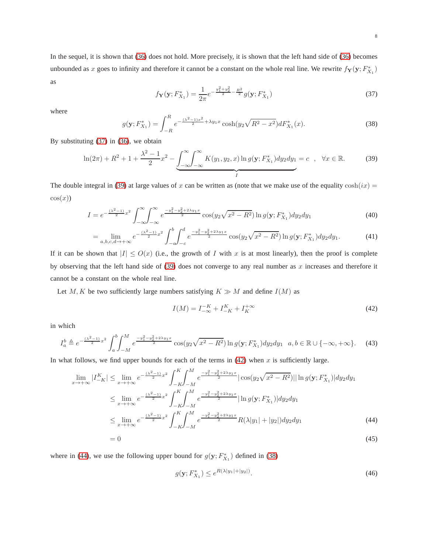In the sequel, it is shown that [\(36\)](#page-6-3) does not hold. More precisely, it is shown that the left hand side of [\(36\)](#page-6-3) becomes unbounded as x goes to infinity and therefore it cannot be a constant on the whole real line. We rewrite  $f_Y(y; F_{X_1}^*)$ as

<span id="page-7-0"></span>
$$
f_{\mathbf{Y}}(\mathbf{y}; F_{X_1}^*) = \frac{1}{2\pi} e^{-\frac{y_1^2 + y_2^2}{2} - \frac{R^2}{2}} g(\mathbf{y}; F_{X_1}^*)
$$
\n(37)

where

<span id="page-7-4"></span>
$$
g(\mathbf{y}; F_{X_1}^*) = \int_{-R}^{R} e^{-\frac{(\lambda^2 - 1)x^2}{2} + \lambda y_1 x} \cosh(y_2 \sqrt{R^2 - x^2}) dF_{X_1}^*(x).
$$
 (38)

By substituting [\(37\)](#page-7-0) in [\(36\)](#page-6-3), we obtain

<span id="page-7-1"></span>
$$
\ln(2\pi) + R^2 + 1 + \frac{\lambda^2 - 1}{2}x^2 - \underbrace{\int_{-\infty}^{\infty} \int_{-\infty}^{\infty} K(y_1, y_2, x) \ln g(\mathbf{y}; F_{X_1}^*) dy_2 dy_1}_{I} = c \quad , \quad \forall x \in \mathbb{R}.
$$
 (39)

The double integral in [\(39\)](#page-7-1) at large values of x can be written as (note that we make use of the equality  $cosh(ix)$  =  $cos(x)$ 

$$
I = e^{-\frac{(\lambda^2 - 1)}{2}x^2} \int_{-\infty}^{\infty} \int_{-\infty}^{\infty} e^{-\frac{y_1^2 - y_2^2 + 2\lambda y_1 x}{2}} \cos(y_2 \sqrt{x^2 - R^2}) \ln g(\mathbf{y}; F_{X_1}^*) dy_2 dy_1 \tag{40}
$$

$$
= \lim_{a,b,c,d \to +\infty} e^{-\frac{(\lambda^2 - 1)}{2}x^2} \int_{-a}^{b} \int_{-c}^{d} e^{-\frac{y_1^2 - y_2^2 + 2\lambda y_1 x}{2}} \cos(y_2 \sqrt{x^2 - R^2}) \ln g(\mathbf{y}; F^*_{X_1}) dy_2 dy_1.
$$
 (41)

If it can be shown that  $|I| \le O(x)$  (i.e., the growth of I with x is at most linearly), then the proof is complete by observing that the left hand side of [\(39\)](#page-7-1) does not converge to any real number as  $x$  increases and therefore it cannot be a constant on the whole real line.

Let M, K be two sufficiently large numbers satisfying  $K \gg M$  and define  $I(M)$  as

<span id="page-7-2"></span>
$$
I(M) = I_{-\infty}^{-K} + I_{-K}^{K} + I_{K}^{+\infty}
$$
\n(42)

in which

$$
I_a^b \triangleq e^{-\frac{(\lambda^2 - 1)}{2}x^2} \int_a^b \int_{-M}^M e^{-\frac{y_1^2 - y_2^2 + 2\lambda y_1 x}{2}} \cos(y_2 \sqrt{x^2 - R^2}) \ln g(\mathbf{y}; F_{X_1}^*) dy_2 dy_1 \quad a, b \in \mathbb{R} \cup \{-\infty, +\infty\}.
$$
 (43)

In what follows, we find upper bounds for each of the terms in  $(42)$  when x is sufficiently large.

$$
\lim_{x \to +\infty} |I_{-K}^{K}| \leq \lim_{x \to +\infty} e^{-\frac{(\lambda^{2}-1)}{2}x^{2}} \int_{-K}^{K} \int_{-M}^{M} e^{-\frac{y_{1}^{2}-y_{2}^{2}+2\lambda y_{1}x}{2}} |\cos(y_{2}\sqrt{x^{2}-R^{2}})||\ln g(\mathbf{y}; F_{X_{1}}^{*})|dy_{2}dy_{1}
$$
\n
$$
\leq \lim_{x \to +\infty} e^{-\frac{(\lambda^{2}-1)}{2}x^{2}} \int_{-K}^{K} \int_{-M}^{M} e^{-\frac{y_{1}^{2}-y_{2}^{2}+2\lambda y_{1}x}{2}} |\ln g(\mathbf{y}; F_{X_{1}}^{*})|dy_{2}dy_{1}
$$
\n
$$
\leq \lim_{x \to +\infty} e^{-\frac{(\lambda^{2}-1)}{2}x^{2}} \int_{-K}^{K} \int_{-M}^{M} e^{-\frac{y_{1}^{2}-y_{2}^{2}+2\lambda y_{1}x}{2}} R(\lambda |y_{1}|+|y_{2}|) dy_{2}dy_{1}
$$
\n
$$
= 0
$$
\n(45)

where in [\(44\)](#page-7-3), we use the following upper bound for  $g(y; F_{X_1}^*)$  defined in [\(38\)](#page-7-4)

<span id="page-7-3"></span>
$$
g(\mathbf{y}; F_{X_1}^*) \le e^{R(\lambda|y_1|+|y_2|)}.
$$
\n(46)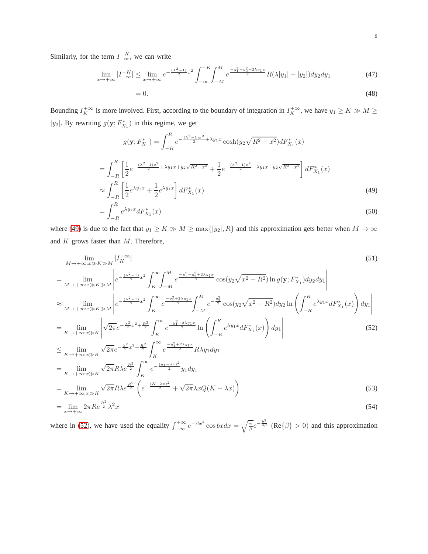Similarly, for the term  $I_{-\infty}^{-K}$ , we can write

$$
\lim_{x \to +\infty} |I_{-\infty}^{-K}| \le \lim_{x \to +\infty} e^{-\frac{(\lambda^2 - 1)}{2}x^2} \int_{-\infty}^{-K} \int_{-M}^{M} e^{-\frac{y_1^2 - y_2^2 + 2\lambda y_1 x}{2}} R(\lambda |y_1| + |y_2|) dy_2 dy_1 \tag{47}
$$

$$
=0.\t(48)
$$

Bounding  $I_K^{\+\infty}$  is more involved. First, according to the boundary of integration in  $I_K^{\+\infty}$ , we have  $y_1 \ge K \gg M \ge$ |y<sub>2</sub>|. By rewriting  $g(y; F_{X_1}^*)$  in this regime, we get

$$
g(\mathbf{y}; F_{X_1}^*) = \int_{-R}^R e^{-\frac{(\lambda^2 - 1)x^2}{2} + \lambda y_1 x} \cosh(y_2 \sqrt{R^2 - x^2}) dF_{X_1}^*(x)
$$
  
\n
$$
= \int_{-R}^R \left[ \frac{1}{2} e^{-\frac{(\lambda^2 - 1)x^2}{2} + \lambda y_1 x + y_2 \sqrt{R^2 - x^2}} + \frac{1}{2} e^{-\frac{(\lambda^2 - 1)x^2}{2} + \lambda y_1 x - y_2 \sqrt{R^2 - x^2}} \right] dF_{X_1}^*(x)
$$
  
\n
$$
\approx \int_{-R}^R \left[ \frac{1}{2} e^{\lambda y_1 x} + \frac{1}{2} e^{\lambda y_1 x} \right] dF_{X_1}^*(x)
$$
\n(49)

<span id="page-8-1"></span><span id="page-8-0"></span>
$$
=\int_{-R}^{R} e^{\lambda y_1 x} dF_{X_1}^*(x) \tag{50}
$$

where [\(49\)](#page-8-0) is due to the fact that  $y_1 \ge K \gg M \ge \max\{|y_2|, R\}$  and this approximation gets better when  $M \to \infty$ and  $K$  grows faster than  $M$ . Therefore,

$$
\lim_{M \to +\infty : x \gg K} \lim_{N \to +\infty : x \gg K} |I_{K}^{+\infty}|
$$
\n
$$
= \lim_{M \to +\infty : x \gg K \gg M} \left| e^{-\frac{(\lambda^{2}-1)}{2}x^{2}} \int_{K}^{\infty} \int_{-M}^{M} e^{-\frac{y_{1}^{2} - y_{2}^{2} + 2\lambda y_{1} x}{2}} \cos(y_{2}\sqrt{x^{2} - R^{2}}) \ln g(y; F_{X_{1}}^{*}) dy_{2} dy_{1} \right|
$$
\n
$$
\approx \lim_{M \to +\infty : x \gg K \gg M} \left| e^{-\frac{(\lambda^{2}-1)}{2}x^{2}} \int_{K}^{\infty} e^{-\frac{y_{1}^{2} + 2\lambda y_{1} x}{2}} \int_{-M}^{M} e^{-\frac{y_{2}^{2}}{2}} \cos(y_{2}\sqrt{x^{2} - R^{2}}) dy_{2} \ln \left( \int_{-R}^{R} e^{\lambda y_{1} x} dF_{X_{1}}^{*}(x) \right) dy_{1} \right|
$$
\n
$$
= \lim_{K \to +\infty : x \gg K} \left| \sqrt{2\pi} e^{-\frac{\lambda^{2}}{2}x^{2} + \frac{R^{2}}{2}} \int_{K}^{\infty} e^{-\frac{y_{1}^{2} + 2\lambda y_{1} x}{2}} \ln \left( \int_{-R}^{R} e^{\lambda y_{1} x} dF_{X_{1}}^{*}(x) \right) dy_{1} \right|
$$
\n
$$
= \lim_{K \to +\infty : x \gg K} \sqrt{2\pi} R \lambda e^{\frac{R^{2}}{2}} \int_{K}^{\infty} e^{-\frac{(y_{1} - \lambda x)^{2}}{2}} y_{1} dy_{1}
$$
\n
$$
= \lim_{K \to +\infty : x \gg K} \sqrt{2\pi} R \lambda e^{\frac{R^{2}}{2}} \int_{K}^{\infty} e^{-\frac{(y_{1} - \lambda x)^{2}}{2}} y_{1} dy_{1}
$$
\n
$$
= \lim_{K \to +\infty : x \gg K} \sqrt{2\pi} R \lambda e^{\frac{R^{2}}{2}} \left( e^{-\frac{(K - \lambda x)^{2}}{2}} + \sqrt{2\pi}
$$

<span id="page-8-2"></span>where in [\(52\)](#page-8-1), we have used the equality  $\int_{-\infty}^{+\infty} e^{-\beta x^2} \cos bx dx = \sqrt{\frac{\pi}{\beta}} e^{-\frac{b^2}{4\beta}}$  (Re{ $\beta$ } > 0) and this approximation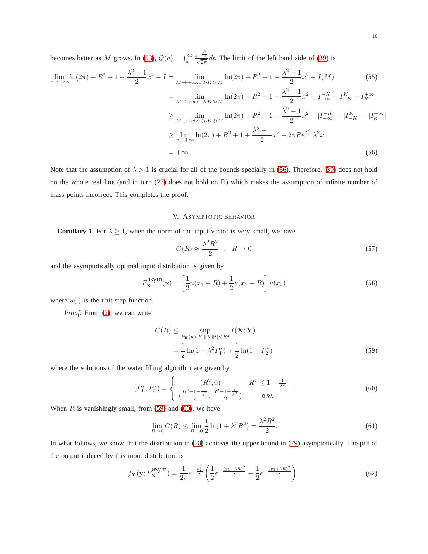becomes better as M grows. In [\(53\)](#page-8-2),  $Q(a) = \int_a^{\infty} \frac{e^{-\frac{t^2}{2}}}{\sqrt{2\pi}} dt$ . The limit of the left hand side of [\(39\)](#page-7-1) is

$$
\lim_{x \to +\infty} \ln(2\pi) + R^2 + 1 + \frac{\lambda^2 - 1}{2} x^2 - I = \lim_{M \to +\infty : x \gg K \gg M} \ln(2\pi) + R^2 + 1 + \frac{\lambda^2 - 1}{2} x^2 - I(M)
$$
(55)  
\n
$$
= \lim_{M \to +\infty : x \gg K \gg M} \ln(2\pi) + R^2 + 1 + \frac{\lambda^2 - 1}{2} x^2 - I_{-\infty}^{-K} - I_K^{K} - I_K^{+\infty}
$$
  
\n
$$
\geq \lim_{M \to +\infty : x \gg K \gg M} \ln(2\pi) + R^2 + 1 + \frac{\lambda^2 - 1}{2} x^2 - |I_{-\infty}^{-K}| - |I_K^{K}| - |I_K^{+\infty}|
$$
  
\n
$$
\geq \lim_{x \to +\infty} \ln(2\pi) + R^2 + 1 + \frac{\lambda^2 - 1}{2} x^2 - 2\pi R e^{\frac{R^2}{2}} \lambda^2 x
$$
  
\n
$$
= +\infty.
$$
(56)

Note that the assumption of  $\lambda > 1$  is crucial for all of the bounds specially in [\(56\)](#page-9-1). Therefore, [\(39\)](#page-7-1) does not hold on the whole real line (and in turn  $(27)$  does not hold on  $D$ ) which makes the assumption of infinite number of mass points incorrect. This completes the proof.

# <span id="page-9-1"></span>V. ASYMPTOTIC BEHAVIOR

<span id="page-9-0"></span>**Corollary 1**. For  $\lambda \geq 1$ , when the norm of the input vector is very small, we have

$$
C(R) \approx \frac{\lambda^2 R^2}{2} \quad , \quad R \to 0 \tag{57}
$$

and the asymptotically optimal input distribution is given by

<span id="page-9-4"></span>
$$
F_{\mathbf{X}}^{\text{asym}}(\mathbf{x}) = \left[\frac{1}{2}u(x_1 - R) + \frac{1}{2}u(x_1 + R)\right]u(x_2)
$$
\n(58)

where  $u(.)$  is the unit step function.

*Proof:* From [\(2\)](#page-2-5), we can write

<span id="page-9-2"></span>
$$
C(R) \le \sup_{F_{\mathbf{X}}(\mathbf{x}):E[\|X\|^2] \le R^2} I(\mathbf{X}; \mathbf{Y})
$$
  
=  $\frac{1}{2} \ln(1 + \lambda^2 P_1^*) + \frac{1}{2} \ln(1 + P_2^*)$  (59)

where the solutions of the water filling algorithm are given by

<span id="page-9-3"></span>
$$
(P_1^*, P_2^*) = \begin{cases} (R^2, 0) & R^2 \le 1 - \frac{1}{\lambda^2} \\ (\frac{R^2 + 1 - \frac{1}{\lambda^2}}{2}, \frac{R^2 - 1 + \frac{1}{\lambda^2}}{2}) & \text{o.w.} \end{cases}
$$
 (60)

When  $R$  is vanishingly small, from [\(59\)](#page-9-2) and [\(60\)](#page-9-3), we have

$$
\lim_{R \to 0} C(R) \le \lim_{R \to 0} \frac{1}{2} \ln(1 + \lambda^2 R^2) = \frac{\lambda^2 R^2}{2}.
$$
\n(61)

In what follows, we show that the distribution in [\(58\)](#page-9-4) achieves the upper bound in [\(79\)](#page-12-1) asymptotically. The pdf of the output induced by this input distribution is

$$
f_{\mathbf{Y}}(\mathbf{y}; F_{\mathbf{X}}^{\text{asym}}) = \frac{1}{2\pi} e^{-\frac{y_2^2}{2}} \left( \frac{1}{2} e^{-\frac{(y_1 - \lambda R)^2}{2}} + \frac{1}{2} e^{-\frac{(y_1 + \lambda R)^2}{2}} \right).
$$
(62)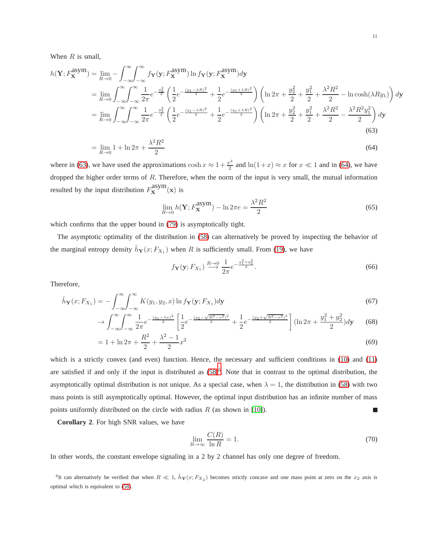When  $R$  is small,

$$
h(\mathbf{Y}; F_{\mathbf{X}}^{\text{asym}}) = \lim_{R \to 0} -\int_{-\infty}^{\infty} \int_{-\infty}^{\infty} f_{\mathbf{Y}}(\mathbf{y}; F_{\mathbf{X}}^{\text{asym}}) \ln f_{\mathbf{Y}}(\mathbf{y}; F_{\mathbf{X}}^{\text{asym}}) d\mathbf{y}
$$
  
\n
$$
= \lim_{R \to 0} \int_{-\infty}^{\infty} \int_{-\infty}^{\infty} \frac{1}{2\pi} e^{-\frac{y_2^2}{2}} \left( \frac{1}{2} e^{-\frac{(y_1 - \lambda R)^2}{2}} + \frac{1}{2} e^{-\frac{(y_1 + \lambda R)^2}{2}} \right) \left( \ln 2\pi + \frac{y_2^2}{2} + \frac{y_1^2}{2} + \frac{\lambda^2 R^2}{2} - \ln \cosh(\lambda R y_1) \right) d\mathbf{y}
$$
  
\n
$$
= \lim_{R \to 0} \int_{-\infty}^{\infty} \int_{-\infty}^{\infty} \frac{1}{2\pi} e^{-\frac{y_2^2}{2}} \left( \frac{1}{2} e^{-\frac{(y_1 - \lambda R)^2}{2}} + \frac{1}{2} e^{-\frac{(y_1 + \lambda R)^2}{2}} \right) \left( \ln 2\pi + \frac{y_2^2}{2} + \frac{y_1^2}{2} + \frac{\lambda^2 R^2}{2} - \frac{\lambda^2 R^2 y_1^2}{2} \right) d\mathbf{y}
$$
  
\n(63)

$$
= \lim_{R \to 0} 1 + \ln 2\pi + \frac{\lambda^2 R^2}{2} \tag{64}
$$

where in [\(63\)](#page-10-0), we have used the approximations  $\cosh x \approx 1 + \frac{x^2}{2}$  $\frac{x^2}{2}$  and  $\ln(1+x) \approx x$  for  $x \ll 1$  and in [\(64\)](#page-10-1), we have dropped the higher order terms of  $R$ . Therefore, when the norm of the input is very small, the mutual information resulted by the input distribution  $F_{\mathbf{X}}^{\text{asym}}(\mathbf{x})$  is

<span id="page-10-1"></span><span id="page-10-0"></span>
$$
\lim_{R \to 0} h(\mathbf{Y}; F_{\mathbf{X}}^{\text{asym}}) - \ln 2\pi e = \frac{\lambda^2 R^2}{2}
$$
\n(65)

which confirms that the upper bound in  $(79)$  is asymptotically tight.

The asymptotic optimality of the distribution in [\(58\)](#page-9-4) can alternatively be proved by inspecting the behavior of the marginal entropy density  $\tilde{h}_{\mathbf{Y}}(x; F_{X_1})$  when R is sufficiently small. From [\(19\)](#page-4-3), we have

$$
f_{\mathbf{Y}}(\mathbf{y}; F_{X_1}) \xrightarrow{R \to 0} \frac{1}{2\pi} e^{-\frac{y_1^2 + y_2^2}{2}}.
$$
 (66)

Therefore,

$$
\tilde{h}_{\mathbf{Y}}(x; F_{X_1}) = -\int_{-\infty}^{\infty} \int_{-\infty}^{\infty} K(y_1, y_2, x) \ln f_{\mathbf{Y}}(\mathbf{y}; F_{X_1}) d\mathbf{y}
$$
\n(67)

$$
\rightarrow \int_{-\infty}^{\infty} \int_{-\infty}^{\infty} \frac{1}{2\pi} e^{-\frac{(y_1 - \lambda x)^2}{2}} \left[ \frac{1}{2} e^{-\frac{(y_2 - \sqrt{R^2 - x^2})^2}{2}} + \frac{1}{2} e^{-\frac{(y_2 + \sqrt{R^2 - x^2})^2}{2}} \right] (\ln 2\pi + \frac{y_1^2 + y_2^2}{2}) dy \tag{68}
$$

$$
= 1 + \ln 2\pi + \frac{R^2}{2} + \frac{\lambda^2 - 1}{2}x^2
$$
\n(69)

which is a strictly convex (and even) function. Hence, the necessary and sufficient conditions in [\(10\)](#page-3-4) and [\(11\)](#page-3-5) are satisfied if and only if the input is distributed as  $(58)^6$  $(58)^6$ . Note that in contrast to the optimal distribution, the asymptotically optimal distribution is not unique. As a special case, when  $\lambda = 1$ , the distribution in [\(58\)](#page-9-4) with two mass points is still asymptotically optimal. However, the optimal input distribution has an infinite number of mass points uniformly distributed on the circle with radius  $R$  (as shown in [\[10\]](#page-18-9)). П

**Corollary 2**. For high SNR values, we have

<span id="page-10-3"></span>
$$
\lim_{R \to \infty} \frac{C(R)}{\ln R} = 1.
$$
\n(70)

In other words, the constant envelope signaling in a 2 by 2 channel has only one degree of freedom.

<span id="page-10-2"></span><sup>6</sup>It can alternatively be verified that when  $R \ll 1$ ,  $\tilde{h}_{Y}(x; F_{X_2})$  becomes strictly concave and one mass point at zero on the  $x_2$  axis is optimal which is equivalent to [\(58\)](#page-9-4).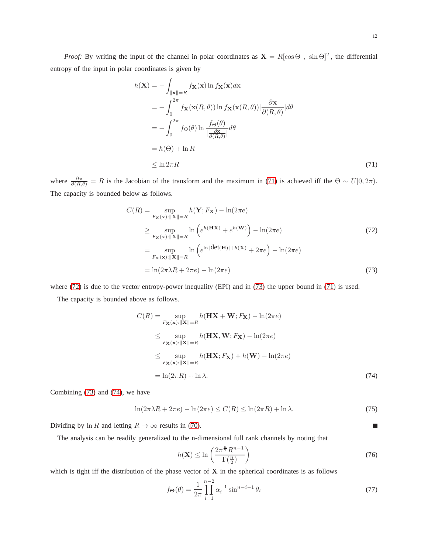<span id="page-11-0"></span>
$$
h(\mathbf{X}) = -\int_{\|\mathbf{x}\|=R} f_{\mathbf{X}}(\mathbf{x}) \ln f_{\mathbf{X}}(\mathbf{x}) d\mathbf{x}
$$
  
\n
$$
= -\int_{0}^{2\pi} f_{\mathbf{X}}(\mathbf{x}(R,\theta)) \ln f_{\mathbf{X}}(\mathbf{x}(R,\theta)) |\frac{\partial \mathbf{x}}{\partial(R,\theta)}| d\theta
$$
  
\n
$$
= -\int_{0}^{2\pi} f_{\Theta}(\theta) \ln \frac{f_{\Theta}(\theta)}{|\frac{\partial \mathbf{x}}{\partial(R,\theta)}|} d\theta
$$
  
\n
$$
= h(\Theta) + \ln R
$$
  
\n
$$
\leq \ln 2\pi R
$$
 (71)

where  $\frac{\partial x}{\partial (R,\theta)} = R$  is the Jacobian of the transform and the maximum in [\(71\)](#page-11-0) is achieved iff the  $\Theta \sim U[0,2\pi)$ . The capacity is bounded below as follows.

$$
C(R) = \sup_{F_{\mathbf{X}}(\mathbf{x}): \|\mathbf{X}\| = R} h(\mathbf{Y}; F_{\mathbf{X}}) - \ln(2\pi e)
$$
  
\n
$$
\geq \sup_{F_{\mathbf{X}}(\mathbf{x}): \|\mathbf{X}\| = R} \ln\left(e^{h(\mathbf{H}\mathbf{X})} + e^{h(\mathbf{W})}\right) - \ln(2\pi e)
$$
  
\n
$$
= \sup_{F_{\mathbf{X}}(\mathbf{x}): \|\mathbf{X}\| = R} \ln\left(e^{\ln|\det(\mathbf{H})| + h(\mathbf{X})} + 2\pi e\right) - \ln(2\pi e)
$$
  
\n
$$
= \ln(2\pi\lambda R + 2\pi e) - \ln(2\pi e)
$$
\n(73)

where [\(72\)](#page-11-1) is due to the vector entropy-power inequality (EPI) and in [\(73\)](#page-11-2) the upper bound in [\(71\)](#page-11-0) is used.

The capacity is bounded above as follows.

$$
C(R) = \sup_{F_{\mathbf{X}}(\mathbf{x}): \|\mathbf{X}\| = R} h(\mathbf{H}\mathbf{X} + \mathbf{W}; F_{\mathbf{X}}) - \ln(2\pi e)
$$
  
\n
$$
\leq \sup_{F_{\mathbf{X}}(\mathbf{x}): \|\mathbf{X}\| = R} h(\mathbf{H}\mathbf{X}, \mathbf{W}; F_{\mathbf{X}}) - \ln(2\pi e)
$$
  
\n
$$
\leq \sup_{F_{\mathbf{X}}(\mathbf{x}): \|\mathbf{X}\| = R} h(\mathbf{H}\mathbf{X}; F_{\mathbf{X}}) + h(\mathbf{W}) - \ln(2\pi e)
$$
  
\n
$$
= \ln(2\pi R) + \ln \lambda.
$$
 (74)

Combining [\(73\)](#page-11-2) and [\(74\)](#page-11-3), we have

$$
\ln(2\pi\lambda R + 2\pi e) - \ln(2\pi e) \le C(R) \le \ln(2\pi R) + \ln \lambda. \tag{75}
$$

Dividing by  $\ln R$  and letting  $R \to \infty$  results in [\(70\)](#page-10-3).

The analysis can be readily generalized to the n-dimensional full rank channels by noting that

$$
h(\mathbf{X}) \le \ln\left(\frac{2\pi^{\frac{n}{2}} R^{n-1}}{\Gamma(\frac{n}{2})}\right) \tag{76}
$$

which is tight iff the distribution of the phase vector of  $X$  in the spherical coordinates is as follows

<span id="page-11-4"></span>
$$
f_{\Theta}(\theta) = \frac{1}{2\pi} \prod_{i=1}^{n-2} \alpha_i^{-1} \sin^{n-i-1} \theta_i
$$
 (77)

<span id="page-11-3"></span><span id="page-11-2"></span><span id="page-11-1"></span>П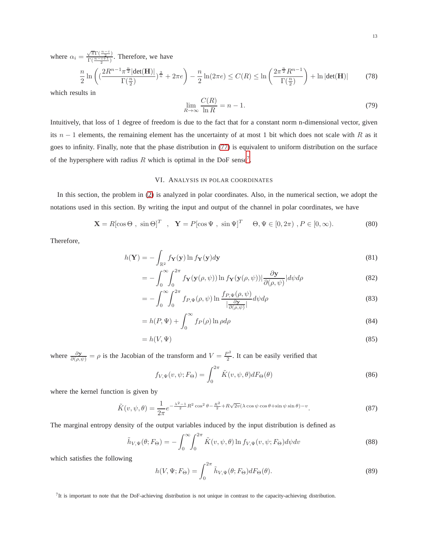where  $\alpha_i = \frac{\sqrt{\pi} \Gamma(\frac{n-i}{2})}{\Gamma(\frac{n-i+1}{2})}$ . Therefore, we have

$$
\frac{n}{2}\ln\left(\left(\frac{2R^{n-1}\pi^{\frac{n}{2}}|\text{det}(\mathbf{H})|}{\Gamma(\frac{n}{2})}\right)^{\frac{2}{n}}+2\pi e\right)-\frac{n}{2}\ln(2\pi e)\leq C(R)\leq\ln\left(\frac{2\pi^{\frac{n}{2}}R^{n-1}}{\Gamma(\frac{n}{2})}\right)+\ln|\text{det}(\mathbf{H})|\tag{78}
$$

which results in

<span id="page-12-1"></span>
$$
\lim_{R \to \infty} \frac{C(R)}{\ln R} = n - 1. \tag{79}
$$

Intuitively, that loss of 1 degree of freedom is due to the fact that for a constant norm n-dimensional vector, given its  $n - 1$  elements, the remaining element has the uncertainty of at most 1 bit which does not scale with R as it goes to infinity. Finally, note that the phase distribution in [\(77\)](#page-11-4) is equivalent to uniform distribution on the surface of the hypersphere with radius  $R$  which is optimal in the DoF sense<sup>[7](#page-12-2)</sup>.

# VI. ANALYSIS IN POLAR COORDINATES

<span id="page-12-0"></span>In this section, the problem in [\(2\)](#page-2-5) is analyzed in polar coordinates. Also, in the numerical section, we adopt the notations used in this section. By writing the input and output of the channel in polar coordinates, we have

$$
\mathbf{X} = R[\cos\Theta, \sin\Theta]^T \quad , \quad \mathbf{Y} = P[\cos\Psi, \sin\Psi]^T \quad \Theta, \Psi \in [0, 2\pi) \quad , P \in [0, \infty). \tag{80}
$$

Therefore,

$$
h(\mathbf{Y}) = -\int_{\mathbb{R}^2} f_{\mathbf{Y}}(\mathbf{y}) \ln f_{\mathbf{Y}}(\mathbf{y}) d\mathbf{y}
$$
\n(81)

$$
= -\int_0^\infty \int_0^{2\pi} f_{\mathbf{Y}}(\mathbf{y}(\rho,\psi)) \ln f_{\mathbf{Y}}(\mathbf{y}(\rho,\psi)) |\frac{\partial \mathbf{y}}{\partial(\rho,\psi)}| d\psi d\rho \tag{82}
$$

$$
= -\int_0^\infty \int_0^{2\pi} f_{P,\Psi}(\rho,\psi) \ln \frac{f_{P,\Psi}(\rho,\psi)}{|\frac{\partial \mathbf{y}}{\partial(\rho,\psi)}|} d\psi d\rho \tag{83}
$$

$$
= h(P, \Psi) + \int_0^\infty f_P(\rho) \ln \rho d\rho \tag{84}
$$

$$
=h(V,\Psi) \tag{85}
$$

where  $\frac{\partial y}{\partial(\rho,\psi)} = \rho$  is the Jacobian of the transform and  $V = \frac{P^2}{2}$  $\frac{32}{2}$ . It can be easily verified that

$$
f_{V,\Psi}(v,\psi;F_{\Theta}) = \int_0^{2\pi} \tilde{K}(v,\psi,\theta) dF_{\Theta}(\theta)
$$
\n(86)

where the kernel function is given by

$$
\tilde{K}(v,\psi,\theta) = \frac{1}{2\pi}e^{-\frac{\lambda^2 - 1}{2}R^2\cos^2\theta - \frac{R^2}{2} + R\sqrt{2v}(\lambda\cos\psi\cos\theta + \sin\psi\sin\theta) - v}.\tag{87}
$$

The marginal entropy density of the output variables induced by the input distribution is defined as

$$
\tilde{h}_{V,\Psi}(\theta; F_{\Theta}) = -\int_0^{\infty} \int_0^{2\pi} \tilde{K}(v, \psi, \theta) \ln f_{V,\Psi}(v, \psi; F_{\Theta}) d\psi dv \tag{88}
$$

which satisfies the following

$$
h(V, \Psi; F_{\Theta}) = \int_0^{2\pi} \tilde{h}_{V, \Psi}(\theta; F_{\Theta}) dF_{\Theta}(\theta).
$$
\n(89)

<span id="page-12-2"></span> $^{7}$ It is important to note that the DoF-achieving distribution is not unique in contrast to the capacity-achieving distribution.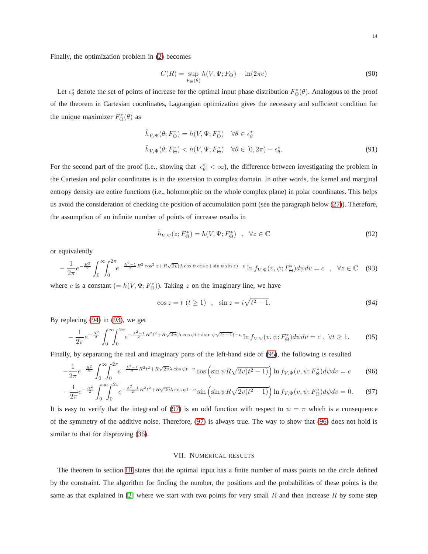Finally, the optimization problem in [\(2\)](#page-2-5) becomes

<span id="page-13-6"></span>
$$
C(R) = \sup_{F_{\Theta}(\theta)} h(V, \Psi; F_{\Theta}) - \ln(2\pi e)
$$
\n(90)

Let  $\epsilon_{\theta}^*$  denote the set of points of increase for the optimal input phase distribution  $F_{\Theta}^*(\theta)$ . Analogous to the proof of the theorem in Cartesian coordinates, Lagrangian optimization gives the necessary and sufficient condition for the unique maximizer  $F^*_{\Theta}(\theta)$  as

$$
\tilde{h}_{V,\Psi}(\theta; F_{\Theta}^*) = h(V, \Psi; F_{\Theta}^*) \quad \forall \theta \in \epsilon_{\theta}^*
$$
\n
$$
\tilde{h}_{V,\Psi}(\theta; F_{\Theta}^*) < h(V, \Psi; F_{\Theta}^*) \quad \forall \theta \in [0, 2\pi) - \epsilon_{\theta}^*.
$$
\n
$$
(91)
$$

For the second part of the proof (i.e., showing that  $|\epsilon_{\theta}^{*}| < \infty$ ), the difference between investigating the problem in the Cartesian and polar coordinates is in the extension to complex domain. In other words, the kernel and marginal entropy density are entire functions (i.e., holomorphic on the whole complex plane) in polar coordinates. This helps us avoid the consideration of checking the position of accumulation point (see the paragraph below [\(27\)](#page-5-5)). Therefore, the assumption of an infinite number of points of increase results in

$$
\tilde{h}_{V,\Psi}(z; F_{\Theta}^*) = h(V, \Psi; F_{\Theta}^*) \quad , \quad \forall z \in \mathbb{C}
$$
\n(92)

or equivalently

<span id="page-13-2"></span>
$$
-\frac{1}{2\pi}e^{-\frac{R^2}{2}}\int_0^\infty\!\!\int_0^{2\pi} e^{-\frac{\lambda^2-1}{2}R^2\cos^2 z + R\sqrt{2v}(\lambda\cos\psi\cos z + \sin\psi\sin z) - v\ln f_{V,\Psi}(v,\psi;F^*_{\Theta})d\psi dv = c \quad , \quad \forall z \in \mathbb{C} \tag{93}
$$

where c is a constant  $(= h(V, \Psi; F^*_{\Theta}))$ . Taking z on the imaginary line, we have

<span id="page-13-1"></span>
$$
\cos z = t \ (t \ge 1) \quad , \quad \sin z = i\sqrt{t^2 - 1}.
$$
\n(94)

By replacing [\(94\)](#page-13-1) in [\(93\)](#page-13-2), we get

<span id="page-13-3"></span>
$$
-\frac{1}{2\pi}e^{-\frac{R^2}{2}}\int_0^\infty\!\!\int_0^{2\pi} e^{-\frac{\lambda^2-1}{2}R^2t^2+R\sqrt{2v}(\lambda\cos\psi t+i\sin\psi\sqrt{t^2-1})-v}\ln f_{V,\Psi}(v,\psi;F^*_{\Theta})d\psi dv = c \ , \ \forall t \ge 1. \tag{95}
$$

Finally, by separating the real and imaginary parts of the left-hand side of [\(95\)](#page-13-3), the following is resulted

$$
-\frac{1}{2\pi}e^{-\frac{R^2}{2}}\int_0^\infty\!\!\int_0^{2\pi} e^{-\frac{\lambda^2-1}{2}R^2t^2+R\sqrt{2v}\lambda\cos\psi t-v}\cos\left(\sin\psi R\sqrt{2v(t^2-1)}\right)\ln f_{V,\Psi}(v,\psi;F^*_{\Theta})d\psi dv = c\tag{96}
$$

$$
-\frac{1}{2\pi}e^{-\frac{R^2}{2}}\int_0^\infty\!\!\int_0^{2\pi} e^{-\frac{\lambda^2-1}{2}R^2t^2+R\sqrt{2v}\lambda\cos\psi t-v}\sin\left(\sin\psi R\sqrt{2v(t^2-1)}\right)\ln f_{V,\Psi}(v,\psi;F_\Theta^*)d\psi dv=0.\tag{97}
$$

It is easy to verify that the integrand of [\(97\)](#page-13-4) is an odd function with respect to  $\psi = \pi$  which is a consequence of the symmetry of the additive noise. Therefore, [\(97\)](#page-13-4) is always true. The way to show that [\(96\)](#page-13-5) does not hold is similar to that for disproving  $(36)$ .

### <span id="page-13-5"></span><span id="page-13-4"></span>VII. NUMERICAL RESULTS

<span id="page-13-0"></span>The theorem in section [III](#page-3-0) states that the optimal input has a finite number of mass points on the circle defined by the constraint. The algorithm for finding the number, the positions and the probabilities of these points is the same as that explained in  $[2]$  where we start with two points for very small R and then increase R by some step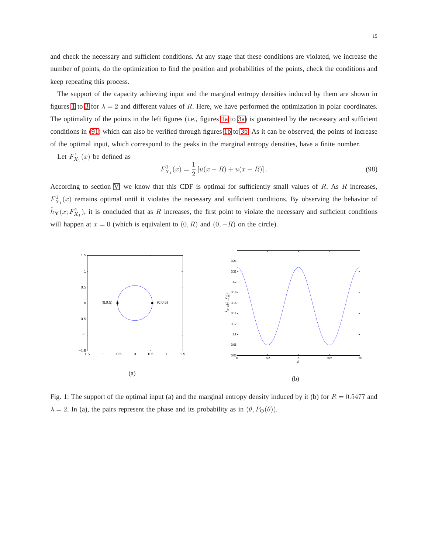and check the necessary and sufficient conditions. At any stage that these conditions are violated, we increase the number of points, do the optimization to find the position and probabilities of the points, check the conditions and keep repeating this process.

The support of the capacity achieving input and the marginal entropy densities induced by them are shown in figures [1](#page-14-0) to [3](#page-15-0) for  $\lambda = 2$  and different values of R. Here, we have performed the optimization in polar coordinates. The optimality of the points in the left figures (i.e., figures [1a](#page-14-0) to [3a\)](#page-15-0) is guaranteed by the necessary and sufficient conditions in [\(91\)](#page-13-6) which can also be verified through figures [1b](#page-14-0) to [3b.](#page-15-0) As it can be observed, the points of increase of the optimal input, which correspond to the peaks in the marginal entropy densities, have a finite number.

Let  $F_{X_1}^1(x)$  be defined as

<span id="page-14-1"></span>
$$
F_{X_1}^1(x) = \frac{1}{2} \left[ u(x - R) + u(x + R) \right].
$$
 (98)

According to section [V,](#page-9-0) we know that this CDF is optimal for sufficiently small values of  $R$ . As  $R$  increases,  $F_{X_1}^1(x)$  remains optimal until it violates the necessary and sufficient conditions. By observing the behavior of  $\tilde{h}_{Y}(x; F^{1}_{X_1})$ , it is concluded that as R increases, the first point to violate the necessary and sufficient conditions will happen at  $x = 0$  (which is equivalent to  $(0, R)$  and  $(0, -R)$  on the circle).

<span id="page-14-0"></span>

Fig. 1: The support of the optimal input (a) and the marginal entropy density induced by it (b) for  $R = 0.5477$  and  $\lambda = 2$ . In (a), the pairs represent the phase and its probability as in  $(\theta, P_{\Theta}(\theta))$ .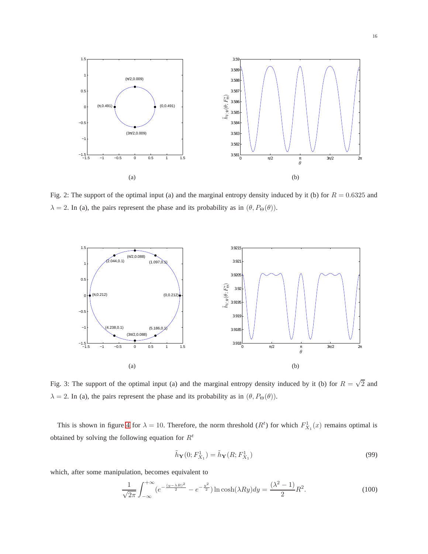

Fig. 2: The support of the optimal input (a) and the marginal entropy density induced by it (b) for  $R = 0.6325$  and  $\lambda = 2$ . In (a), the pairs represent the phase and its probability as in  $(\theta, P_{\Theta}(\theta))$ .

<span id="page-15-0"></span>

Fig. 3: The support of the optimal input (a) and the marginal entropy density induced by it (b) for  $R = \sqrt{2}$  and  $\lambda = 2$ . In (a), the pairs represent the phase and its probability as in  $(\theta, P_{\Theta}(\theta))$ .

This is shown in figure [4](#page-16-0) for  $\lambda = 10$ . Therefore, the norm threshold  $(R^t)$  for which  $F^1_{X_1}(x)$  remains optimal is obtained by solving the following equation for  $R<sup>t</sup>$ 

$$
\tilde{h}_{\mathbf{Y}}(0; F_{X_1}^1) = \tilde{h}_{\mathbf{Y}}(R; F_{X_1}^1)
$$
\n(99)

which, after some manipulation, becomes equivalent to

<span id="page-15-1"></span>
$$
\frac{1}{\sqrt{2\pi}} \int_{-\infty}^{+\infty} \left( e^{-\frac{(y-\lambda R)^2}{2}} - e^{-\frac{y^2}{2}} \right) \ln \cosh(\lambda R y) dy = \frac{(\lambda^2 - 1)}{2} R^2.
$$
 (100)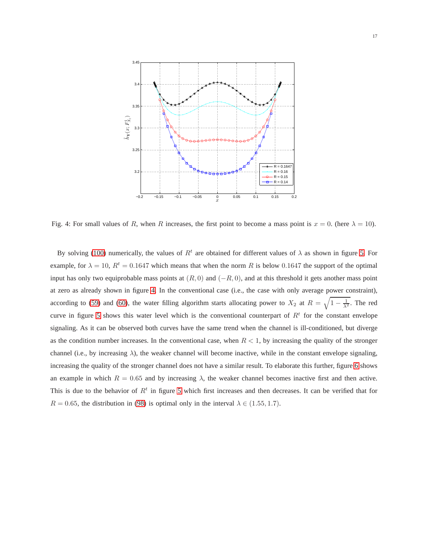<span id="page-16-0"></span>

Fig. 4: For small values of R, when R increases, the first point to become a mass point is  $x = 0$ . (here  $\lambda = 10$ ).

By solving [\(100\)](#page-15-1) numerically, the values of  $R^t$  are obtained for different values of  $\lambda$  as shown in figure [5.](#page-17-1) For example, for  $\lambda = 10$ ,  $R<sup>t</sup> = 0.1647$  which means that when the norm R is below 0.1647 the support of the optimal input has only two equiprobable mass points at  $(R, 0)$  and  $(-R, 0)$ , and at this threshold it gets another mass point at zero as already shown in figure [4.](#page-16-0) In the conventional case (i.e., the case with only average power constraint), according to [\(59\)](#page-9-2) and [\(60\)](#page-9-3), the water filling algorithm starts allocating power to  $X_2$  at  $R = \sqrt{1 - \frac{1}{\lambda^2}}$ . The red curve in figure [5](#page-17-1) shows this water level which is the conventional counterpart of  $R<sup>t</sup>$  for the constant envelope signaling. As it can be observed both curves have the same trend when the channel is ill-conditioned, but diverge as the condition number increases. In the conventional case, when  $R < 1$ , by increasing the quality of the stronger channel (i.e., by increasing  $\lambda$ ), the weaker channel will become inactive, while in the constant envelope signaling, increasing the quality of the stronger channel does not have a similar result. To elaborate this further, figure [6](#page-17-2) shows an example in which  $R = 0.65$  and by increasing  $\lambda$ , the weaker channel becomes inactive first and then active. This is due to the behavior of  $R<sup>t</sup>$  in figure [5](#page-17-1) which first increases and then decreases. It can be verified that for  $R = 0.65$ , the distribution in [\(98\)](#page-14-1) is optimal only in the interval  $\lambda \in (1.55, 1.7)$ .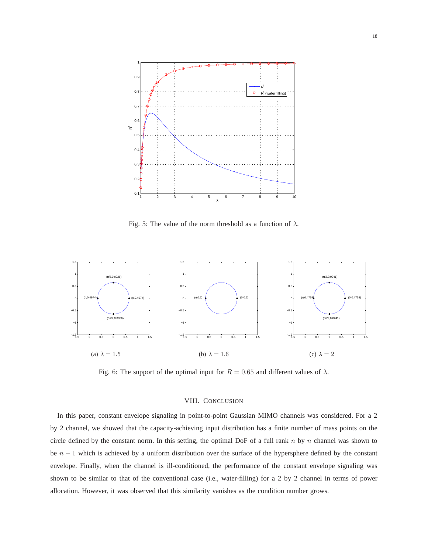<span id="page-17-1"></span>

Fig. 5: The value of the norm threshold as a function of  $\lambda$ .

<span id="page-17-2"></span>

Fig. 6: The support of the optimal input for  $R = 0.65$  and different values of  $\lambda$ .

# VIII. CONCLUSION

<span id="page-17-0"></span>In this paper, constant envelope signaling in point-to-point Gaussian MIMO channels was considered. For a 2 by 2 channel, we showed that the capacity-achieving input distribution has a finite number of mass points on the circle defined by the constant norm. In this setting, the optimal DoF of a full rank  $n$  by  $n$  channel was shown to be  $n - 1$  which is achieved by a uniform distribution over the surface of the hypersphere defined by the constant envelope. Finally, when the channel is ill-conditioned, the performance of the constant envelope signaling was shown to be similar to that of the conventional case (i.e., water-filling) for a 2 by 2 channel in terms of power allocation. However, it was observed that this similarity vanishes as the condition number grows.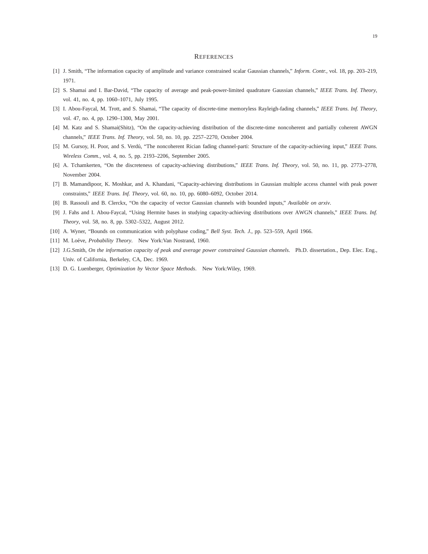#### **REFERENCES**

- <span id="page-18-1"></span><span id="page-18-0"></span>[1] J. Smith, "The information capacity of amplitude and variance constrained scalar Gaussian channels," *Inform. Contr.*, vol. 18, pp. 203–219, 1971.
- <span id="page-18-2"></span>[2] S. Shamai and I. Bar-David, "The capacity of average and peak-power-limited quadrature Gaussian channels," *IEEE Trans. Inf. Theory*, vol. 41, no. 4, pp. 1060–1071, July 1995.
- <span id="page-18-3"></span>[3] I. Abou-Faycal, M. Trott, and S. Shamai, "The capacity of discrete-time memoryless Rayleigh-fading channels," *IEEE Trans. Inf. Theory*, vol. 47, no. 4, pp. 1290–1300, May 2001.
- <span id="page-18-4"></span>[4] M. Katz and S. Shamai(Shitz), "On the capacity-achieving distribution of the discrete-time noncoherent and partially coherent AWGN channels," *IEEE Trans. Inf. Theory*, vol. 50, no. 10, pp. 2257–2270, October 2004.
- <span id="page-18-5"></span>[5] M. Gursoy, H. Poor, and S. Verd´u, "The noncoherent Rician fading channel-parti: Structure of the capacity-achieving input," *IEEE Trans. Wireless Comm.*, vol. 4, no. 5, pp. 2193–2206, September 2005.
- <span id="page-18-6"></span>[6] A. Tchamkerten, "On the discreteness of capacity-achieving distributions," *IEEE Trans. Inf. Theory*, vol. 50, no. 11, pp. 2773–2778, November 2004.
- <span id="page-18-7"></span>[7] B. Mamandipoor, K. Moshkar, and A. Khandani, "Capacity-achieving distributions in Gaussian multiple access channel with peak power constraints," *IEEE Trans. Inf. Theory*, vol. 60, no. 10, pp. 6080–6092, October 2014.
- <span id="page-18-8"></span>[8] B. Rassouli and B. Clerckx, "On the capacity of vector Gaussian channels with bounded inputs," *Available on arxiv*.
- <span id="page-18-9"></span>[9] J. Fahs and I. Abou-Faycal, "Using Hermite bases in studying capacity-achieving distributions over AWGN channels," *IEEE Trans. Inf. Theory*, vol. 58, no. 8, pp. 5302–5322, August 2012.
- <span id="page-18-10"></span>[10] A. Wyner, "Bounds on communication with polyphase coding," *Bell Syst. Tech. J.*, pp. 523–559, April 1966.
- <span id="page-18-11"></span>[11] M. Loéve, *Probability Theory*. New York: Van Nostrand, 1960.
- <span id="page-18-12"></span>[12] J.G.Smith, *On the information capacity of peak and average power constrained Gaussian channels*. Ph.D. dissertation., Dep. Elec. Eng., Univ. of California, Berkeley, CA, Dec. 1969.
- [13] D. G. Luenberger, *Optimization by Vector Space Methods*. New York:Wiley, 1969.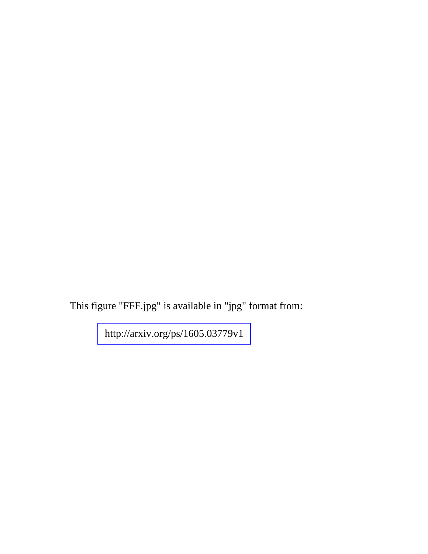This figure "FFF.jpg" is available in "jpg" format from:

<http://arxiv.org/ps/1605.03779v1>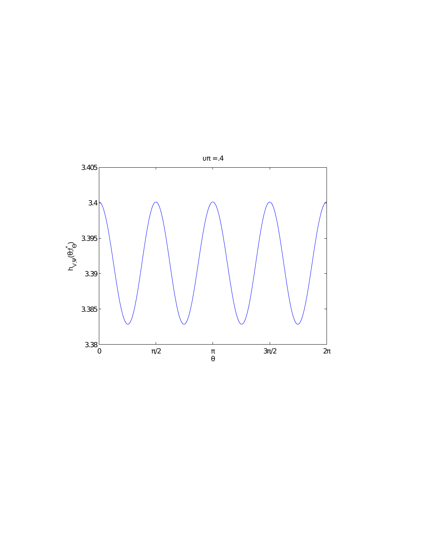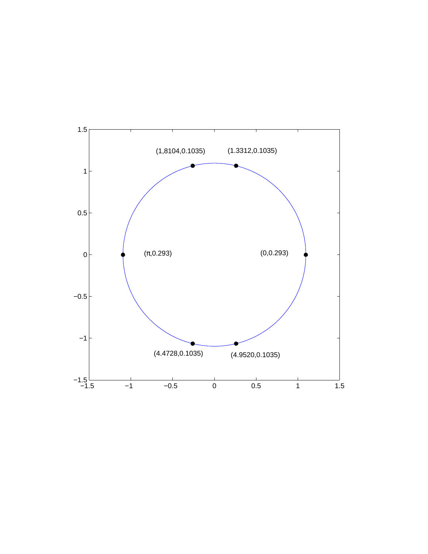